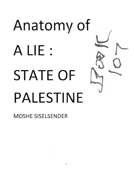# Anatomy of A LIE: STATE OF PALESTINE

MOSHE SISELSENDER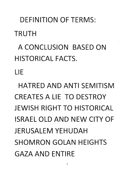DEFINITION OF TERMS: **TRUTH** 

A CONCLUSION BASED ON HISTORICAL FACTS.

LIE

HATRED AND ANTI SEMITISM CREATES A LIE TO DESTROY JEWISH RIGHT TO HISTORICAL ISRAEL OLD AND NEW CITY OF JERUSALEM YEHUDAH SHOMRON GOLAN HEIGHTS GAZA AND ENTIRE

 $\overline{2}$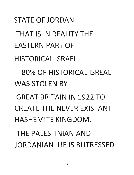STATE OF JORDAN THAT IS IN REALITY THE EASTERN PART OF HISTORICAL ISRAEL. 80% OF HISTORICAL ISREAL WAS STOLEN BY GREAT BRITAIN IN 1922 TO CREATE THE NEVER EXISTANT HASHEMITE KINGDOM. THE PALESTINIAN AND JORDANIAN LIE IS BUTRESSED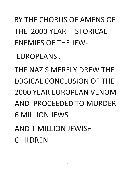## BY THE CHORUS OF AMENS OF THE 2000 YEAR HISTORICAL ENEMIES OF THE JEW-

EUROPEANS.

THE NAZIS MERELY DREW THE LOGICAL CONCLUSION OF THE 2000 YEAR EUROPEAN VENOM AND PROCEEDED TO MURDER 6 MILLION JEWS AND 1 MILLION JEWISH CHILDREN.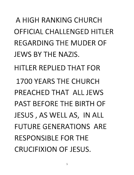A HIGH RANKING CHURCH OFFICIAL CHALLENGED HITLER REGARDING THE MUDER OF JEWS BY THE NAZIS. HITLER REPLIED THAT FOR 1700 YEARS THE CHURCH PREACHED THAT ALL JEWS PAST BEFORE THE BIRTH OF JESUS, AS WELL AS, IN ALL FUTURE GENERATIONS ARE RESPONSIBLE FOR THE CRUCIFIXION OF JESUS.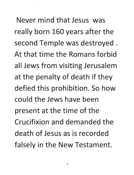Never mind that Jesus was really born 160 years after the second Temple was destroyed. At that time the Romans forbid all Jews from visiting Jerusalem at the penalty of death if they defied this prohibition. So how could the Jews have been present at the time of the Crucifixion and demanded the death of Jesus as is recorded falsely in the New Testament.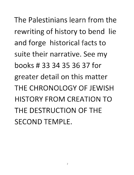The Palestinians learn from the rewriting of history to bend lie and forge historical facts to suite their narrative. See my books # 33 34 35 36 37 for greater detail on this matter THE CHRONOLOGY OF JEWISH HISTORY FROM CREATION TO THE DESTRUCTION OF THE SECOND TEMPLE.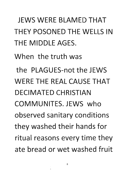JEWS WERE BLAMED THAT THEY POSONED THE WELLS IN THE MIDDLE AGES.

When the truth was

the PLAGUES-not the JEWS WERE THE REAL CAUSE THAT DECIMATED CHRISTIAN COMMUNITES. JEWS who observed sanitary conditions they washed their hands for ritual reasons every time they ate bread or wet washed fruit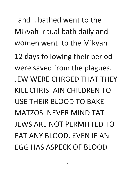and bathed went to the Mikvah ritual bath daily and women went to the Mikvah 12 days following their period were saved from the plagues. JEW WERE CHRGED THAT THEY KILL CHRISTAIN CHILDREN TO USE THEIR BLOOD TO BAKE MATZOS. NEVER MIND TAT JEWS ARE NOT PERMITTED TO FAT ANY BLOOD. EVEN IF AN EGG HAS ASPECK OF BLOOD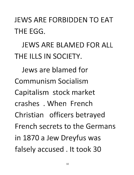JEWS ARE FORBIDDEN TO EAT THE EGG.

JEWS ARE BLAMED FOR ALL THE ILLS IN SOCIETY.

Jews are blamed for Communism Socialism Capitalism stock market crashes . When French Christian officers betrayed French secrets to the Germans in 1870 a Jew Dreyfus was falsely accused. It took 30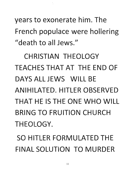years to exonerate him. The French populace were hollering "death to all Jews."

CHRISTIAN THEOLOGY TEACHES THAT AT THE END OF DAYS ALL JEWS WILL BE ANIHILATED. HITLER OBSERVED THAT HE IS THE ONE WHO WILL BRING TO FRUITION CHURCH THEOLOGY.

SO HITLER FORMULATED THE FINAL SOLUTION TO MURDER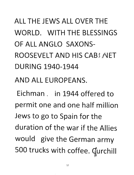ALL THE JEWS ALL OVER THE WORLD. WITH THE BLESSINGS OF ALL ANGLO SAXONS-ROOSEVELT AND HIS CAB1 NET DURING 1940-1944

AND ALL EUROPEANS.

Eichman . in 1944 offered to permit one and one half million Jews to go to Spain for the duration of the war if the Allies would give the German army 500 trucks with coffee. Gurchill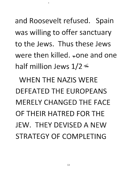and Roosevelt refused. Spain was willing to offer sanctuary to the Jews. Thus these Jews were then killed.  $_{*}$ one and one half million Jews  $1/2 \leq$ 

WHEN THE NAZIS WERE DEFEATED THE EUROPEANS MERELY CHANGED THE FACE OF THEIR HATRED FOR THE JEW. THEY DEVISED A NEW STRATEGY OF COMPLETING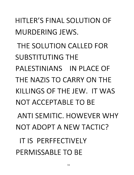# MURDERING JEWS. THE SOLUTION CALLED FOR SUBSTITUTING THE PALESTINIANS IN PLACE OF THE NAZIS TO CARRY ON THE KILLINGS OF THE JEW. IT WAS NOT ACCEPTABLE TO BE ANTI SEMITIC. HOWEVER WHY NOT ADOPT A NEW TACTIC? IT IS PERFFECTIVELY PERMISSABLE TO BE

HITLER'S FINAL SOLUTION OF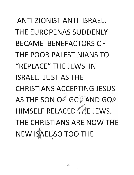ANTI ZIONIST ANTI ISRAEL. THE EUROPENAS SUDDENLY BECAME BENEFACTORS OF THE POOR PALESTINIANS TO "REPLACE" THE JEWS IN ISRAEL. JUST AS THE CHRISTIANS ACCEPTING JESUS AS THE SON OF GC<sub>V</sub> AND GO<sub>D</sub> HIMSELF RELACED (It JEWS. THE CHRISTIANS ARE NOW THE NEW IS ALL SO TOO THE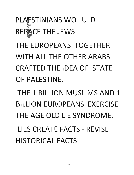# PLAESTINIANS WO ULD REPACE THE JEWS

THE EUROPEANS TOGETHER WITH ALL THE OTHER ARABS CRAFTED THE IDEA OF STATE OF PALESTINE.

THE 1 BILLION MUSLIMS AND 1 BILLION EUROPEANS EXERCISE THE AGE OLD LIE SYNDROME. LIES CREATE FACTS - REVISE

HISTORICAL FACTS.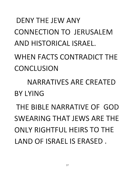#### 'DENY THE JEW ANY CONNECTION TO JERUSALEM AND HISTORICAL ISRAEL.

WHEN FACTS CONTRADICT THE **CONCLUSION** 

NARRATIVES ARE CREATED BY LYING

THE BIBLE NARRATIVE OF GOD SWEARING THAT JEWS ARE THE ONLY RIGHTFUL HEIRS TO THE LAND OF ISRAEL IS ERASED.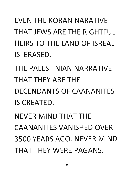## EVEN THE KORAN NARATIVE THAT JEWS ARE THE RIGHTFUL HEIRS TO THE LAND OF ISREAL IS ERASED.

THE PALESTINIAN NARRATIVE THAT THEY ARE THE DECENDANTS OF CAANANITES IS CREATED.

NEVER MIND THAT THE CAANANITES VANISHED OVER 3500 YEARS AGO. NEVER MIND THAT THEY WERE PAGANS.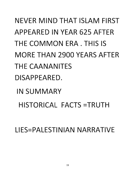NEVER MIND THAT ISLAM FIRST APPEARED IN YEAR 625 AFTER THE COMMON ERA. THIS IS MORE THAN 2900 YEARS AFTER THE CAANANITES DISAPPEARED.

IN SUMMARY HISTORICAL FACTS =TRUTH

LIES=PALESTINIAN NARRATIVE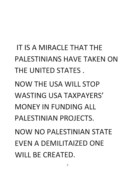IT **IS A** MIRACLE THAT THE PALESTINIANS HAVE TAKEN ON THE UNITED STATES. NOW THE USA WILL STOP WASTING USA TAXPAYERS' MONEY IN FUNDING ALL PALESTINIAN PROJECTS. NOW NO PALESTINIAN STATE EVEN A DEMILITAIZED ONE WILL **BE** CREATED.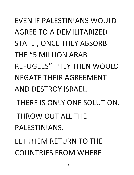EVEN IF PALESTINIANS WOULD AGREE TO A DEMILITARIZED STATE, ONCE THEY ABSORB THE "5 MILLION ARAB REFUGEES" THEY THEN WOULD NEGATE THEIR AGREEMENT AND DESTROY ISRAEL. THERE IS ONLY ONE SOLUTION. THROW OUT ALL THE PALESTINIANS. LET THEM RETURN TO THE

COUNTRIES FROM WHERE